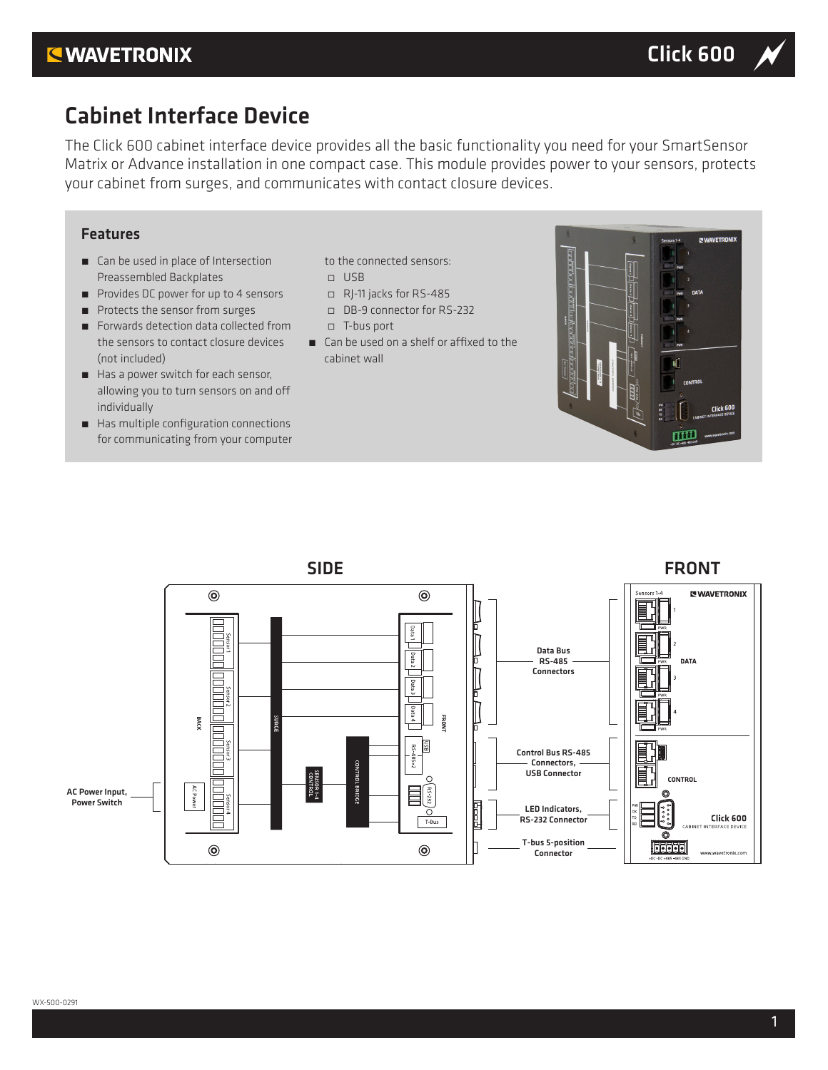## **KWAVETRONIX**

# Cabinet Interface Device

The Click 600 cabinet interface device provides all the basic functionality you need for your SmartSensor Matrix or Advance installation in one compact case. This module provides power to your sensors, protects your cabinet from surges, and communicates with contact closure devices.

### Features

- Can be used in place of Intersection Preassembled Backplates
- Provides DC power for up to 4 sensors
- Protects the sensor from surges
- Forwards detection data collected from the sensors to contact closure devices (not included)
- Has a power switch for each sensor, allowing you to turn sensors on and off individually
- Has multiple configuration connections for communicating from your computer
- to the connected sensors: ̀ USB
- ̀ RJ-11 jacks for RS-485
- ̀ DB-9 connector for RS-232
- ̀ T-bus port
- Can be used on a shelf or affixed to the cabinet wall



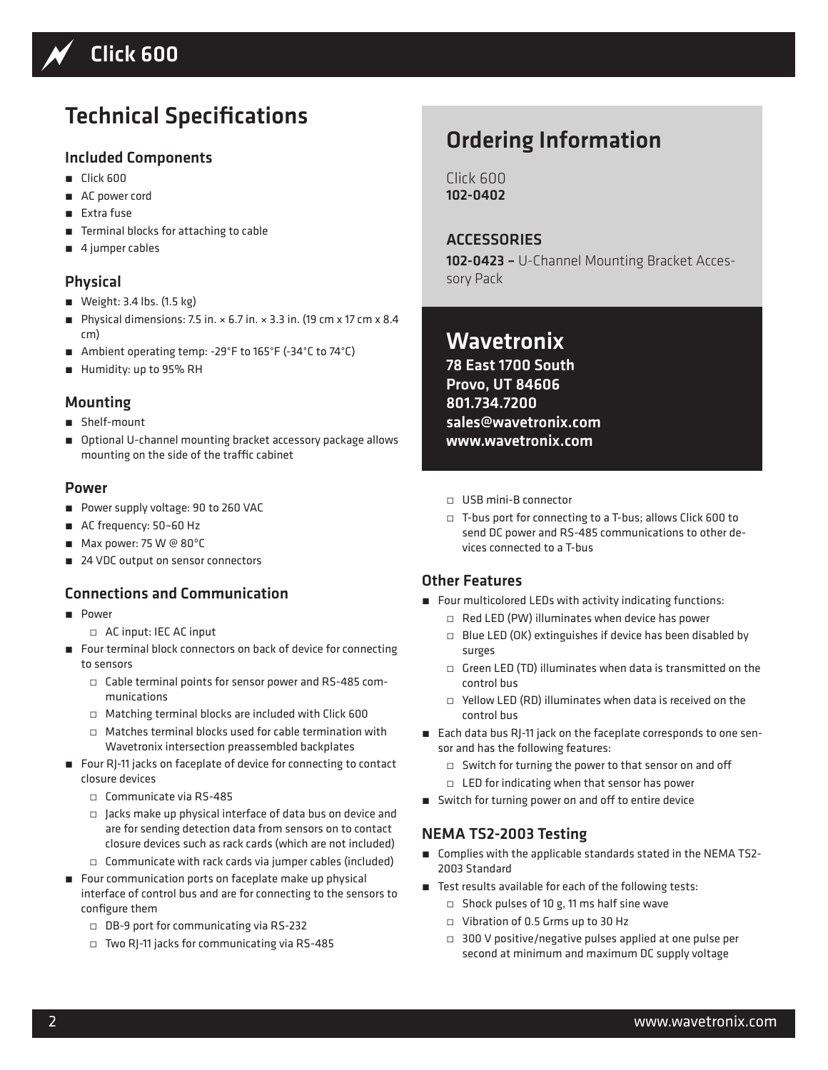

# Technical Specifications

### Included Components

- Click 600
- AC power cord
- Extra fuse
- Terminal blocks for attaching to cable
- 4 jumper cables

## Physical

- Weight: 3.4 lbs. (1.5 kg)
- ˿ Physical dimensions: 7.5 in. × 6.7 in. × 3.3 in. (19 cm x 17 cm x 8.4 cm)
- Ambient operating temp: -29°F to 165°F (-34°C to 74°C)
- Humidity: up to 95% RH

### Mounting

- Shelf-mount
- Optional U-channel mounting bracket accessory package allows mounting on the side of the traffic cabinet

#### Power

- Power supply voltage: 90 to 260 VAC
- AC frequency: 50-60 Hz
- Max power: 75 W @ 80°C
- 24 VDC output on sensor connectors

### Connections and Communication

- ˿ Power
	- ̀ AC input: IEC AC input
- Four terminal block connectors on back of device for connecting to sensors
	- ̀ Cable terminal points for sensor power and RS-485 communications
	- ̀ Matching terminal blocks are included with Click 600
	- $\Box$  Matches terminal blocks used for cable termination with Wavetronix intersection preassembled backplates
- Four RJ-11 jacks on faceplate of device for connecting to contact closure devices
	- ̀ Communicate via RS-485
	- $\Box$  Jacks make up physical interface of data bus on device and are for sending detection data from sensors on to contact closure devices such as rack cards (which are not included)
	- $\square$  Communicate with rack cards via jumper cables (included)
- Four communication ports on faceplate make up physical interface of control bus and are for connecting to the sensors to configure them
	- ̀ DB-9 port for communicating via RS-232
	- ̀ Two RJ-11 jacks for communicating via RS-485

# Ordering Information

Click 600 102-0402

**ACCESSORIES** 102-0423 - U-Channel Mounting Bracket Accessory Pack

# **Wavetronix**

78 East 1700 South Provo, UT 84606 801.734.7200 sales@wavetronix.com www.wavetronix.com

- ̀ USB mini-B connector
- ̀ T-bus port for connecting to a T-bus; allows Click 600 to send DC power and RS-485 communications to other devices connected to a T-bus

### Other Features

- Four multicolored LEDs with activity indicating functions:
	- ̀ Red LED (PW) illuminates when device has power
	- $\Box$  Blue LED (OK) extinguishes if device has been disabled by surges
	- $\Box$  Green LED (TD) illuminates when data is transmitted on the control bus
	- $\Box$  Yellow LED (RD) illuminates when data is received on the control bus
- Each data bus RJ-11 jack on the faceplate corresponds to one sensor and has the following features:
	- ̀ Switch for turning the power to that sensor on and off
	- $\Box$  LED for indicating when that sensor has power
- Switch for turning power on and off to entire device

### NEMA TS2-2003 Testing

- Complies with the applicable standards stated in the NEMA TS2-2003 Standard
- Test results available for each of the following tests:
	- $\square$  Shock pulses of 10 g, 11 ms half sine wave
	- ̀ Vibration of 0.5 Grms up to 30 Hz
	- □ 300 V positive/negative pulses applied at one pulse per second at minimum and maximum DC supply voltage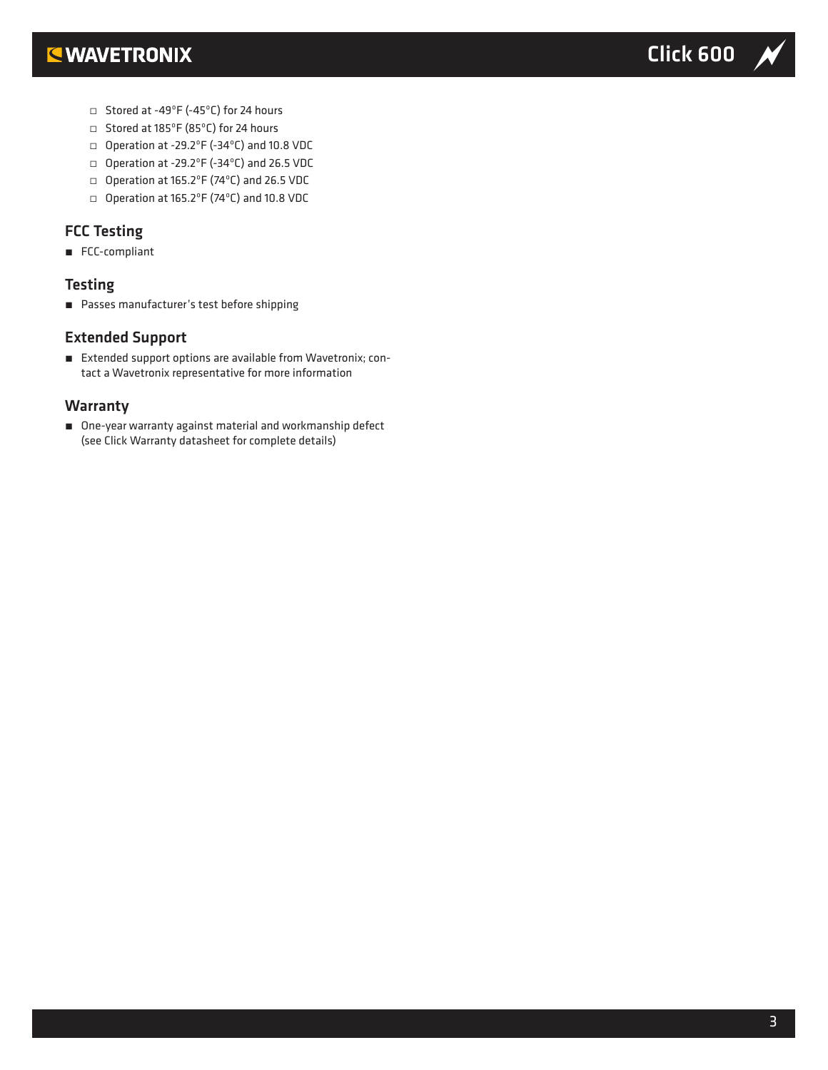

- ̀ Stored at -49ºF (-45ºC) for 24 hours
- ̀ Stored at 185ºF (85ºC) for 24 hours
- ̀ Operation at -29.2ºF (-34ºC) and 10.8 VDC
- ̀ Operation at -29.2ºF (-34ºC) and 26.5 VDC
- ̀ Operation at 165.2ºF (74ºC) and 26.5 VDC
- ̀ Operation at 165.2ºF (74ºC) and 10.8 VDC

## FCC Testing

■ FCC-compliant

### **Testing**

■ Passes manufacturer's test before shipping

#### Extended Support

■ Extended support options are available from Wavetronix; contact a Wavetronix representative for more information

#### **Warranty**

■ One-year warranty against material and workmanship defect (see Click Warranty datasheet for complete details)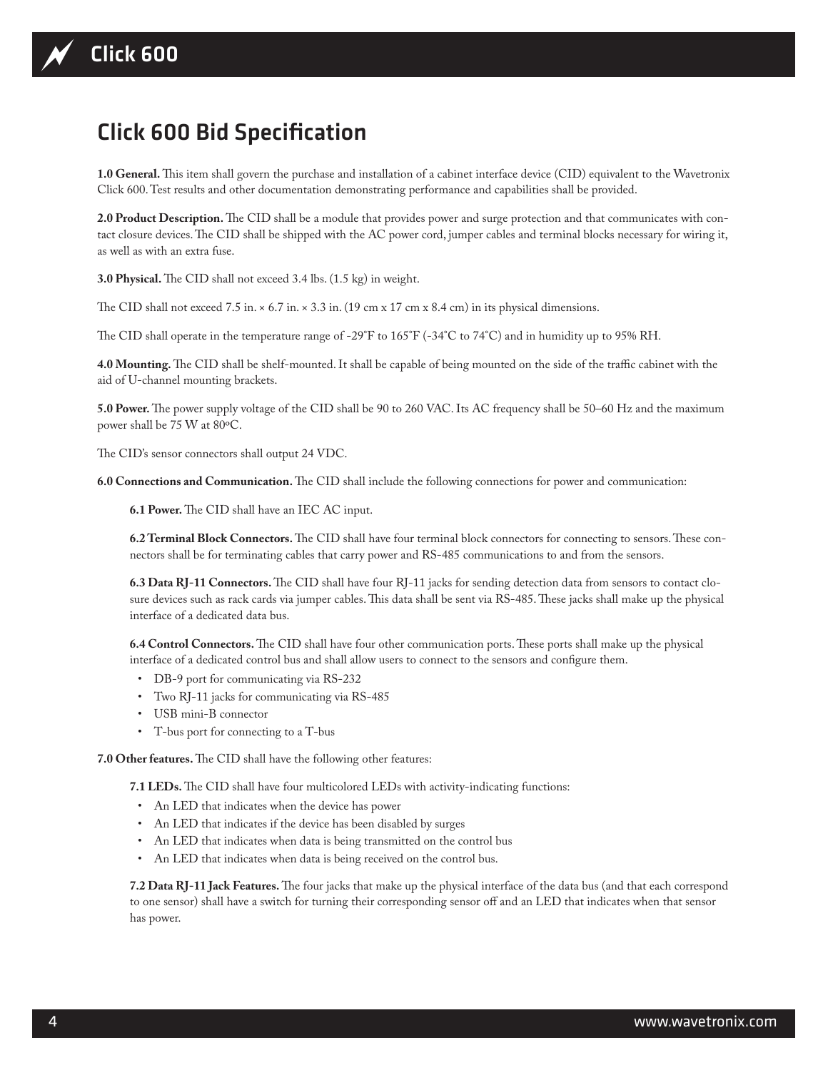# Click 600 Bid Specification

**1.0 General.** This item shall govern the purchase and installation of a cabinet interface device (CID) equivalent to the Wavetronix Click 600. Test results and other documentation demonstrating performance and capabilities shall be provided.

**2.0 Product Description.** The CID shall be a module that provides power and surge protection and that communicates with contact closure devices. The CID shall be shipped with the AC power cord, jumper cables and terminal blocks necessary for wiring it, as well as with an extra fuse.

**3.0 Physical.** The CID shall not exceed 3.4 lbs. (1.5 kg) in weight.

The CID shall not exceed 7.5 in.  $\times$  6.7 in.  $\times$  3.3 in. (19 cm x 17 cm x 8.4 cm) in its physical dimensions.

The CID shall operate in the temperature range of -29°F to 165°F (-34°C to 74°C) and in humidity up to 95% RH.

**4.0 Mounting.** The CID shall be shelf-mounted. It shall be capable of being mounted on the side of the traffic cabinet with the aid of U-channel mounting brackets.

**5.0 Power.** The power supply voltage of the CID shall be 90 to 260 VAC. Its AC frequency shall be 50–60 Hz and the maximum power shall be 75 W at 80ºC.

The CID's sensor connectors shall output 24 VDC.

**6.0 Connections and Communication.** The CID shall include the following connections for power and communication:

**6.1 Power.** The CID shall have an IEC AC input.

**6.2 Terminal Block Connectors.** The CID shall have four terminal block connectors for connecting to sensors. These connectors shall be for terminating cables that carry power and RS-485 communications to and from the sensors.

**6.3 Data RJ-11 Connectors.** The CID shall have four RJ-11 jacks for sending detection data from sensors to contact closure devices such as rack cards via jumper cables. This data shall be sent via RS-485. These jacks shall make up the physical interface of a dedicated data bus.

**6.4 Control Connectors.** The CID shall have four other communication ports. These ports shall make up the physical interface of a dedicated control bus and shall allow users to connect to the sensors and configure them.

- DB-9 port for communicating via RS-232
- Two RJ-11 jacks for communicating via RS-485
- USB mini-B connector
- T-bus port for connecting to a T-bus

**7.0 Other features.** The CID shall have the following other features:

**7.1 LEDs.** The CID shall have four multicolored LEDs with activity-indicating functions:

- An LED that indicates when the device has power
- An LED that indicates if the device has been disabled by surges
- An LED that indicates when data is being transmitted on the control bus
- An LED that indicates when data is being received on the control bus.

**7.2 Data RJ-11 Jack Features.** The four jacks that make up the physical interface of the data bus (and that each correspond to one sensor) shall have a switch for turning their corresponding sensor off and an LED that indicates when that sensor has power.